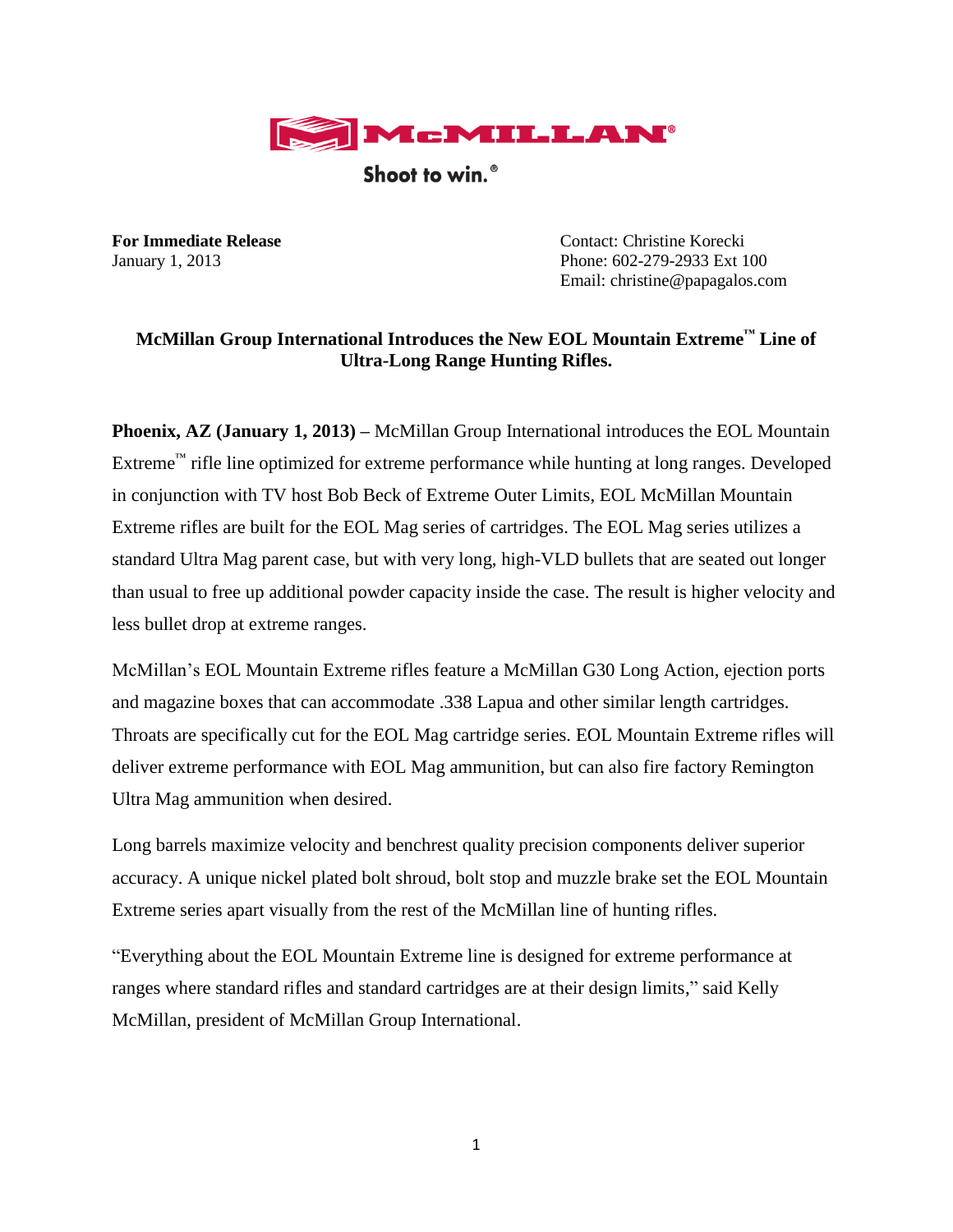

Shoot to win.<sup>®</sup>

**For Immediate Release Contact: Christine Korecki** January 1, 2013 Phone: 602-279-2933 Ext 100 Email: christine@papagalos.com

## **McMillan Group International Introduces the New EOL Mountain Extreme™ Line of Ultra-Long Range Hunting Rifles.**

**Phoenix, AZ (January 1, 2013) –** McMillan Group International introduces the EOL Mountain Extreme™ rifle line optimized for extreme performance while hunting at long ranges. Developed in conjunction with TV host Bob Beck of Extreme Outer Limits, EOL McMillan Mountain Extreme rifles are built for the EOL Mag series of cartridges. The EOL Mag series utilizes a standard Ultra Mag parent case, but with very long, high-VLD bullets that are seated out longer than usual to free up additional powder capacity inside the case. The result is higher velocity and less bullet drop at extreme ranges.

McMillan's EOL Mountain Extreme rifles feature a McMillan G30 Long Action, ejection ports and magazine boxes that can accommodate .338 Lapua and other similar length cartridges. Throats are specifically cut for the EOL Mag cartridge series. EOL Mountain Extreme rifles will deliver extreme performance with EOL Mag ammunition, but can also fire factory Remington Ultra Mag ammunition when desired.

Long barrels maximize velocity and benchrest quality precision components deliver superior accuracy. A unique nickel plated bolt shroud, bolt stop and muzzle brake set the EOL Mountain Extreme series apart visually from the rest of the McMillan line of hunting rifles.

"Everything about the EOL Mountain Extreme line is designed for extreme performance at ranges where standard rifles and standard cartridges are at their design limits," said Kelly McMillan, president of McMillan Group International.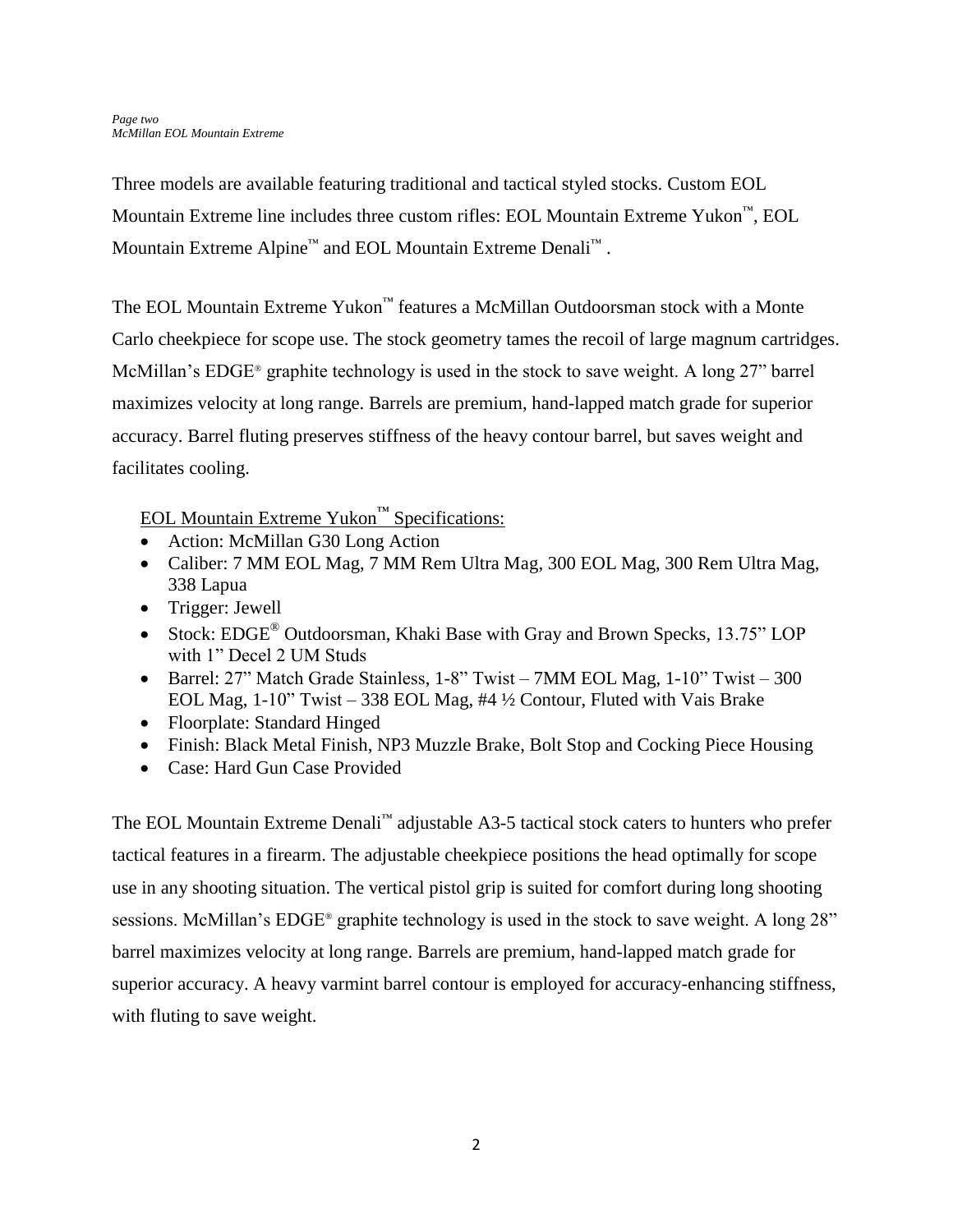Three models are available featuring traditional and tactical styled stocks. Custom EOL Mountain Extreme line includes three custom rifles: EOL Mountain Extreme Yukon™, EOL Mountain Extreme Alpine™ and EOL Mountain Extreme Denali™ .

The EOL Mountain Extreme Yukon™ features a McMillan Outdoorsman stock with a Monte Carlo cheekpiece for scope use. The stock geometry tames the recoil of large magnum cartridges. McMillan's EDGE® graphite technology is used in the stock to save weight. A long 27" barrel maximizes velocity at long range. Barrels are premium, hand-lapped match grade for superior accuracy. Barrel fluting preserves stiffness of the heavy contour barrel, but saves weight and facilitates cooling.

## EOL Mountain Extreme Yukon™ Specifications:

- Action: McMillan G30 Long Action
- Caliber: 7 MM EOL Mag, 7 MM Rem Ultra Mag, 300 EOL Mag, 300 Rem Ultra Mag, 338 Lapua
- Trigger: Jewell
- Stock: EDGE<sup>®</sup> Outdoorsman, Khaki Base with Gray and Brown Specks, 13.75" LOP with 1" Decel 2 UM Studs
- Barrel: 27" Match Grade Stainless, 1-8" Twist 7MM EOL Mag, 1-10" Twist 300 EOL Mag, 1-10" Twist – 338 EOL Mag, #4 ½ Contour, Fluted with Vais Brake
- Floorplate: Standard Hinged
- Finish: Black Metal Finish, NP3 Muzzle Brake, Bolt Stop and Cocking Piece Housing
- Case: Hard Gun Case Provided

The EOL Mountain Extreme Denali™ adjustable A3-5 tactical stock caters to hunters who prefer tactical features in a firearm. The adjustable cheekpiece positions the head optimally for scope use in any shooting situation. The vertical pistol grip is suited for comfort during long shooting sessions. McMillan's EDGE® graphite technology is used in the stock to save weight. A long 28" barrel maximizes velocity at long range. Barrels are premium, hand-lapped match grade for superior accuracy. A heavy varmint barrel contour is employed for accuracy-enhancing stiffness, with fluting to save weight.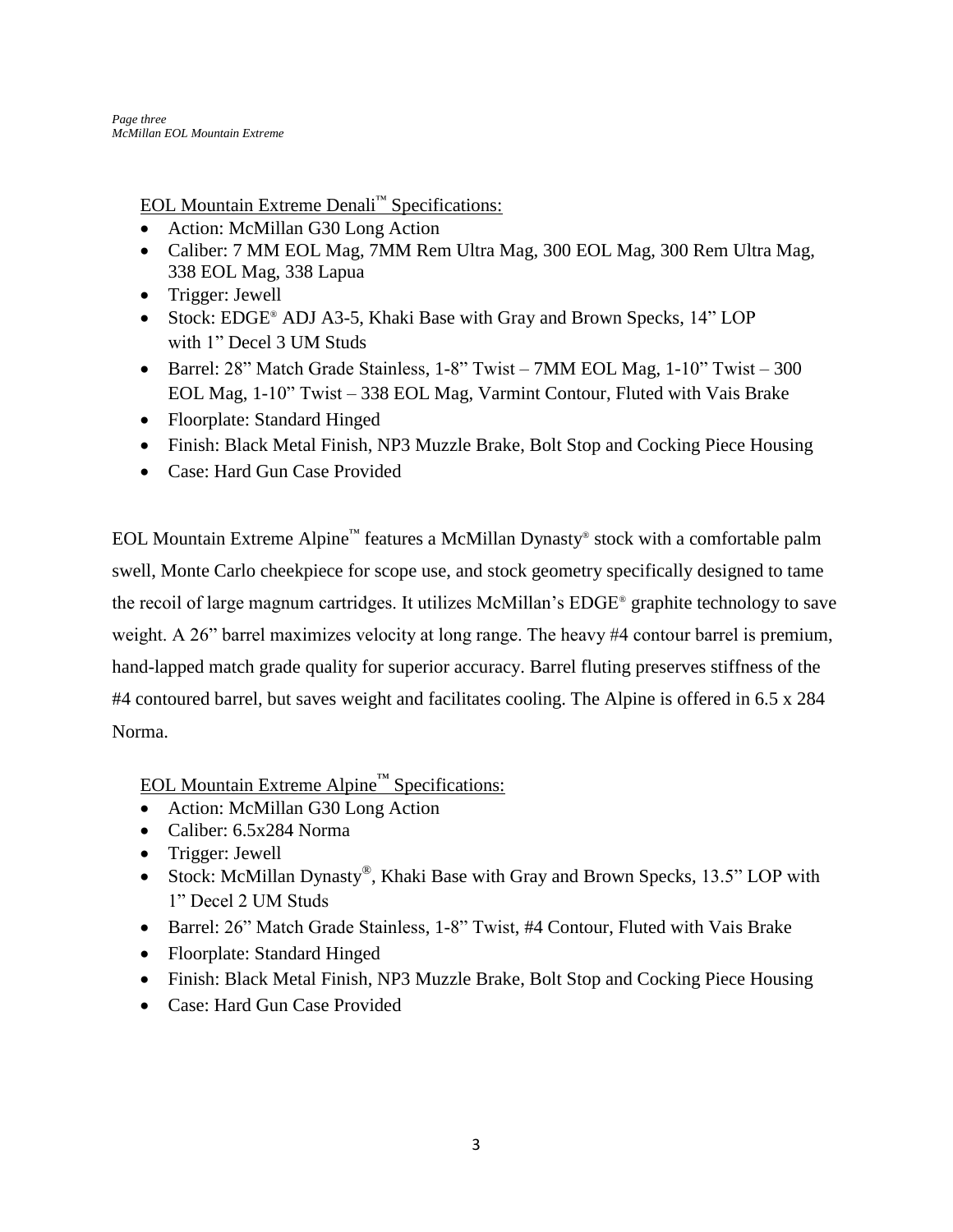EOL Mountain Extreme Denali™ Specifications:

- Action: McMillan G30 Long Action
- Caliber: 7 MM EOL Mag, 7MM Rem Ultra Mag, 300 EOL Mag, 300 Rem Ultra Mag, 338 EOL Mag, 338 Lapua
- Trigger: Jewell
- Stock: EDGE® ADJ A3-5, Khaki Base with Gray and Brown Specks, 14" LOP with 1" Decel 3 UM Studs
- Barrel: 28" Match Grade Stainless, 1-8" Twist 7MM EOL Mag, 1-10" Twist 300 EOL Mag, 1-10" Twist – 338 EOL Mag, Varmint Contour, Fluted with Vais Brake
- Floorplate: Standard Hinged
- Finish: Black Metal Finish, NP3 Muzzle Brake, Bolt Stop and Cocking Piece Housing
- Case: Hard Gun Case Provided

EOL Mountain Extreme Alpine™ features a McMillan Dynasty® stock with a comfortable palm swell, Monte Carlo cheekpiece for scope use, and stock geometry specifically designed to tame the recoil of large magnum cartridges. It utilizes McMillan's EDGE® graphite technology to save weight. A 26" barrel maximizes velocity at long range. The heavy #4 contour barrel is premium, hand-lapped match grade quality for superior accuracy. Barrel fluting preserves stiffness of the #4 contoured barrel, but saves weight and facilitates cooling. The Alpine is offered in 6.5 x 284 Norma.

EOL Mountain Extreme Alpine™ Specifications:

- Action: McMillan G30 Long Action
- Caliber: 6.5x284 Norma
- Trigger: Jewell
- Stock: McMillan Dynasty<sup>®</sup>, Khaki Base with Gray and Brown Specks, 13.5" LOP with 1" Decel 2 UM Studs
- Barrel: 26" Match Grade Stainless, 1-8" Twist, #4 Contour, Fluted with Vais Brake
- Floorplate: Standard Hinged
- Finish: Black Metal Finish, NP3 Muzzle Brake, Bolt Stop and Cocking Piece Housing
- Case: Hard Gun Case Provided